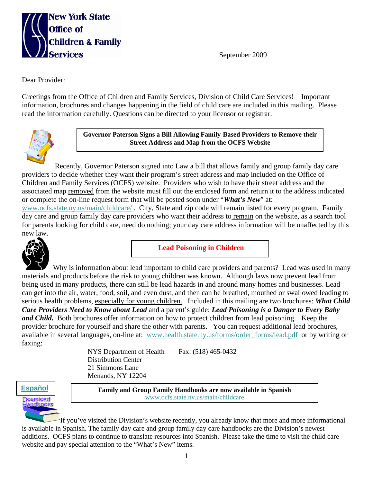

September 2009

Dear Provider:

Greetings from the Office of Children and Family Services, Division of Child Care Services! Important information, brochures and changes happening in the field of child care are included in this mailing. Please read the information carefully. Questions can be directed to your licensor or registrar.



**Governor Paterson Signs a Bill Allowing Family-Based Providers to Remove their Street Address and Map from the OCFS Website** 

Recently, Governor Paterson signed into Law a bill that allows family and group family day care providers to decide whether they want their program's street address and map included on the Office of Children and Family Services (OCFS) website. Providers who wish to have their street address and the associated map removed from the website must fill out the enclosed form and return it to the address indicated or complete the on-line request form that will be posted soon under "*What's New*" at: www.ocfs.state.ny.us/main/childcare/ . City, State and zip code will remain listed for every program. Family

day care and group family day care providers who want their address to remain on the website, as a search tool for parents looking for child care, need do nothing; your day care address information will be unaffected by this new law.



**Lead Poisoning in Children** 

 Why is information about lead important to child care providers and parents? Lead was used in many materials and products before the risk to young children was known. Although laws now prevent lead from being used in many products, there can still be lead hazards in and around many homes and businesses. Lead can get into the air, water, food, soil, and even dust, and then can be breathed, mouthed or swallowed leading to serious health problems, especially for young children. Included in this mailing are two brochures: *What Child Care Providers Need to Know about Lead* and a parent's guide: *Lead Poisoning is a Danger to Every Baby and Child.* Both brochures offer information on how to protect children from lead poisoning. Keep the provider brochure for yourself and share the other with parents. You can request additional lead brochures, available in several languages, on-line at: www.health.state.ny.us/forms/order\_forms/lead.pdf or by writing or faxing:

> NYS Department of Health Fax: (518) 465-0432 Distribution Center 21 Simmons Lane Menands, NY 12204



**Español Family and Group Family Handbooks are now available in Spanish** www.ocfs.state.ny.us/main/childcare

If you've visited the Division's website recently, you already know that more and more informational is available in Spanish. The family day care and group family day care handbooks are the Division's newest additions. OCFS plans to continue to translate resources into Spanish. Please take the time to visit the child care website and pay special attention to the "What's New" items.